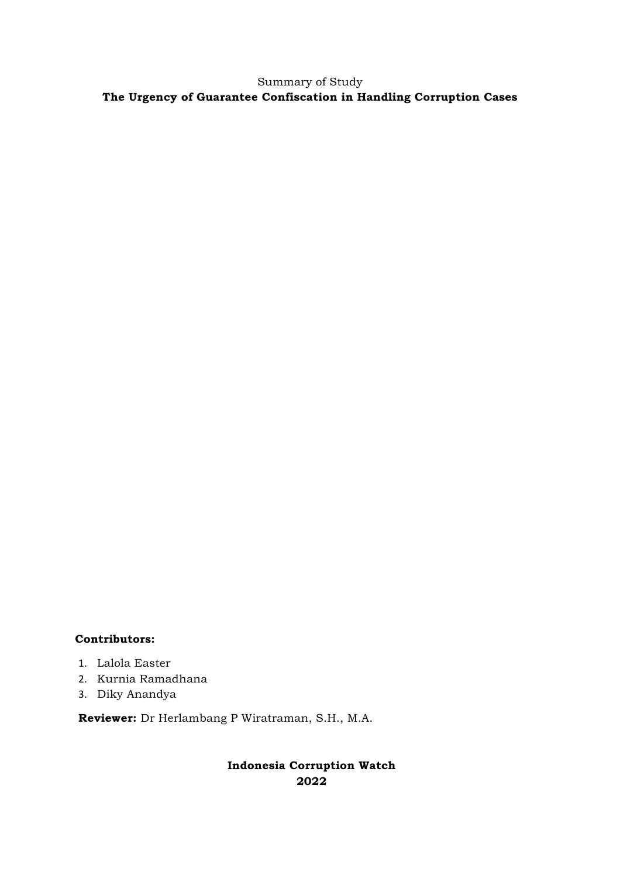Summary of Study **The Urgency of Guarantee Confiscation in Handling Corruption Cases**

### **Contributors:**

- 1. Lalola Easter
- 2. Kurnia Ramadhana
- 3. Diky Anandya

**Reviewer:** Dr Herlambang P Wiratraman, S.H., M.A.

## **Indonesia Corruption Watch 2022**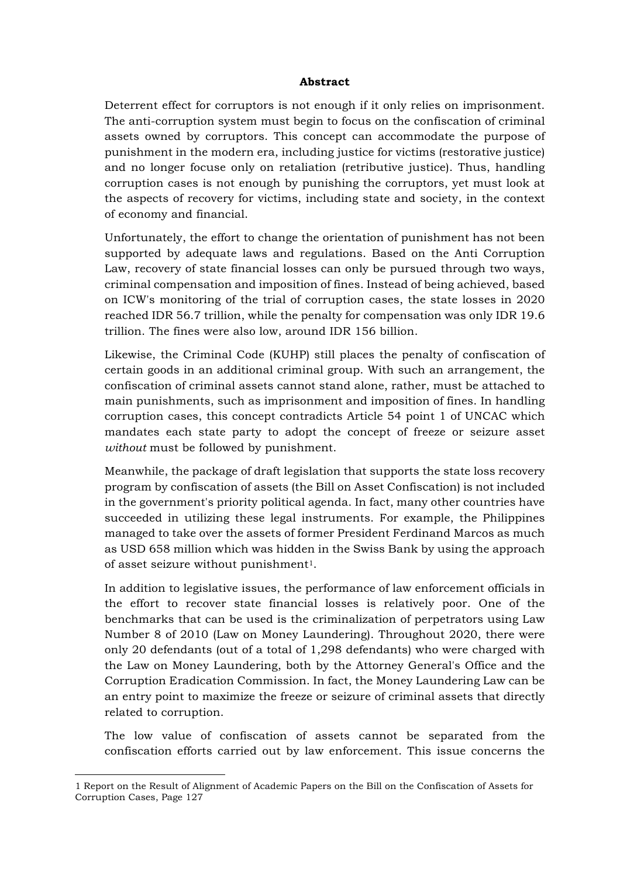#### **Abstract**

Deterrent effect for corruptors is not enough if it only relies on imprisonment. The anti-corruption system must begin to focus on the confiscation of criminal assets owned by corruptors. This concept can accommodate the purpose of punishment in the modern era, including justice for victims (restorative justice) and no longer focuse only on retaliation (retributive justice). Thus, handling corruption cases is not enough by punishing the corruptors, yet must look at the aspects of recovery for victims, including state and society, in the context of economy and financial.

Unfortunately, the effort to change the orientation of punishment has not been supported by adequate laws and regulations. Based on the Anti Corruption Law, recovery of state financial losses can only be pursued through two ways, criminal compensation and imposition of fines. Instead of being achieved, based on ICW's monitoring of the trial of corruption cases, the state losses in 2020 reached IDR 56.7 trillion, while the penalty for compensation was only IDR 19.6 trillion. The fines were also low, around IDR 156 billion.

Likewise, the Criminal Code (KUHP) still places the penalty of confiscation of certain goods in an additional criminal group. With such an arrangement, the confiscation of criminal assets cannot stand alone, rather, must be attached to main punishments, such as imprisonment and imposition of fines. In handling corruption cases, this concept contradicts Article 54 point 1 of UNCAC which mandates each state party to adopt the concept of freeze or seizure asset *without* must be followed by punishment.

Meanwhile, the package of draft legislation that supports the state loss recovery program by confiscation of assets (the Bill on Asset Confiscation) is not included in the government's priority political agenda. In fact, many other countries have succeeded in utilizing these legal instruments. For example, the Philippines managed to take over the assets of former President Ferdinand Marcos as much as USD 658 million which was hidden in the Swiss Bank by using the approach of asset seizure without punishment<sup>1</sup>.

In addition to legislative issues, the performance of law enforcement officials in the effort to recover state financial losses is relatively poor. One of the benchmarks that can be used is the criminalization of perpetrators using Law Number 8 of 2010 (Law on Money Laundering). Throughout 2020, there were only 20 defendants (out of a total of 1,298 defendants) who were charged with the Law on Money Laundering, both by the Attorney General's Office and the Corruption Eradication Commission. In fact, the Money Laundering Law can be an entry point to maximize the freeze or seizure of criminal assets that directly related to corruption.

The low value of confiscation of assets cannot be separated from the confiscation efforts carried out by law enforcement. This issue concerns the

<sup>1</sup> Report on the Result of Alignment of Academic Papers on the Bill on the Confiscation of Assets for Corruption Cases, Page 127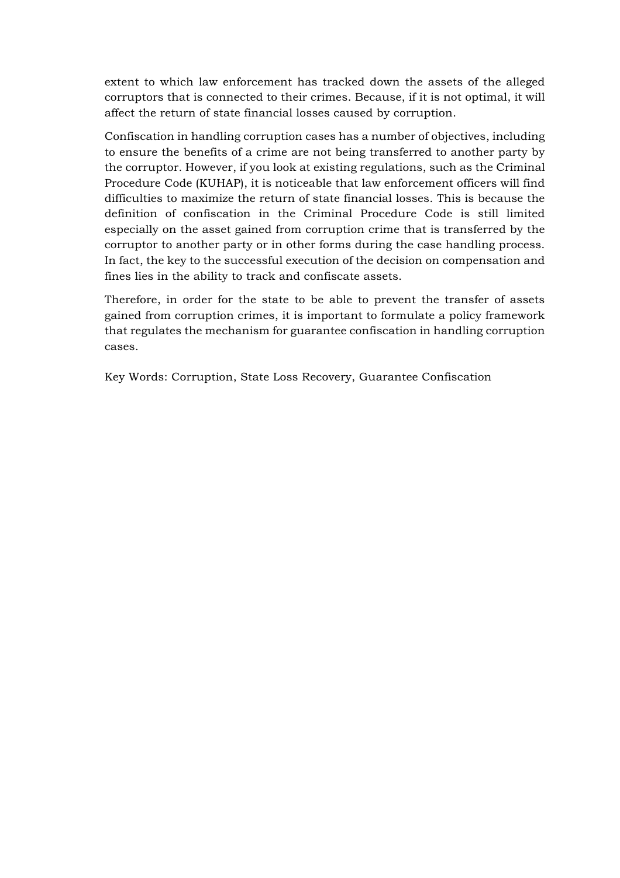extent to which law enforcement has tracked down the assets of the alleged corruptors that is connected to their crimes. Because, if it is not optimal, it will affect the return of state financial losses caused by corruption.

Confiscation in handling corruption cases has a number of objectives, including to ensure the benefits of a crime are not being transferred to another party by the corruptor. However, if you look at existing regulations, such as the Criminal Procedure Code (KUHAP), it is noticeable that law enforcement officers will find difficulties to maximize the return of state financial losses. This is because the definition of confiscation in the Criminal Procedure Code is still limited especially on the asset gained from corruption crime that is transferred by the corruptor to another party or in other forms during the case handling process. In fact, the key to the successful execution of the decision on compensation and fines lies in the ability to track and confiscate assets.

Therefore, in order for the state to be able to prevent the transfer of assets gained from corruption crimes, it is important to formulate a policy framework that regulates the mechanism for guarantee confiscation in handling corruption cases.

Key Words: Corruption, State Loss Recovery, Guarantee Confiscation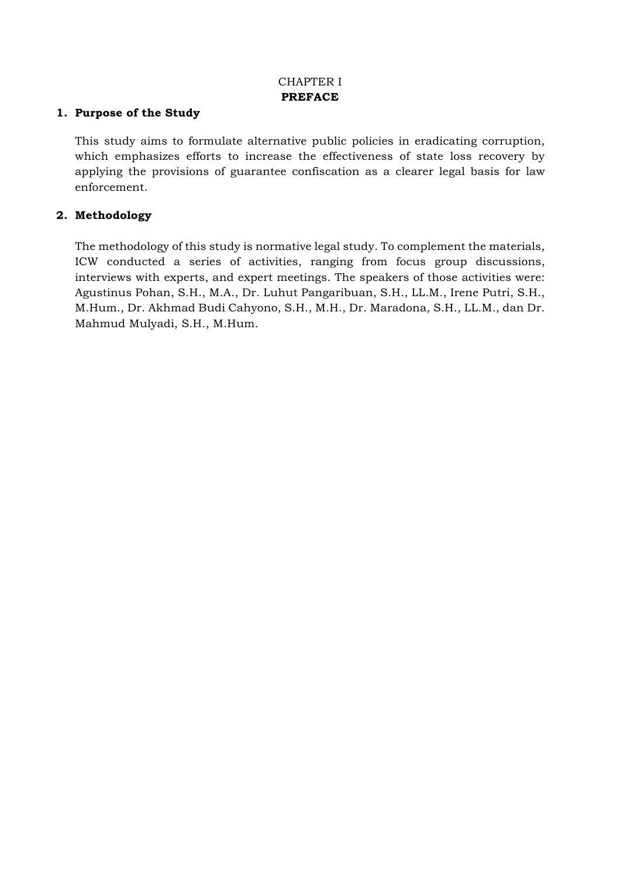# CHAPTER I **PREFACE**

#### **1. Purpose of the Study**

This study aims to formulate alternative public policies in eradicating corruption, which emphasizes efforts to increase the effectiveness of state loss recovery by applying the provisions of guarantee confiscation as a clearer legal basis for law enforcement.

#### **2. Methodology**

The methodology of this study is normative legal study. To complement the materials, ICW conducted a series of activities, ranging from focus group discussions, interviews with experts, and expert meetings. The speakers of those activities were: Agustinus Pohan, S.H., M.A., Dr. Luhut Pangaribuan, S.H., LL.M., Irene Putri, S.H., M.Hum., Dr. Akhmad Budi Cahyono, S.H., M.H., Dr. Maradona, S.H., LL.M., dan Dr. Mahmud Mulyadi, S.H., M.Hum.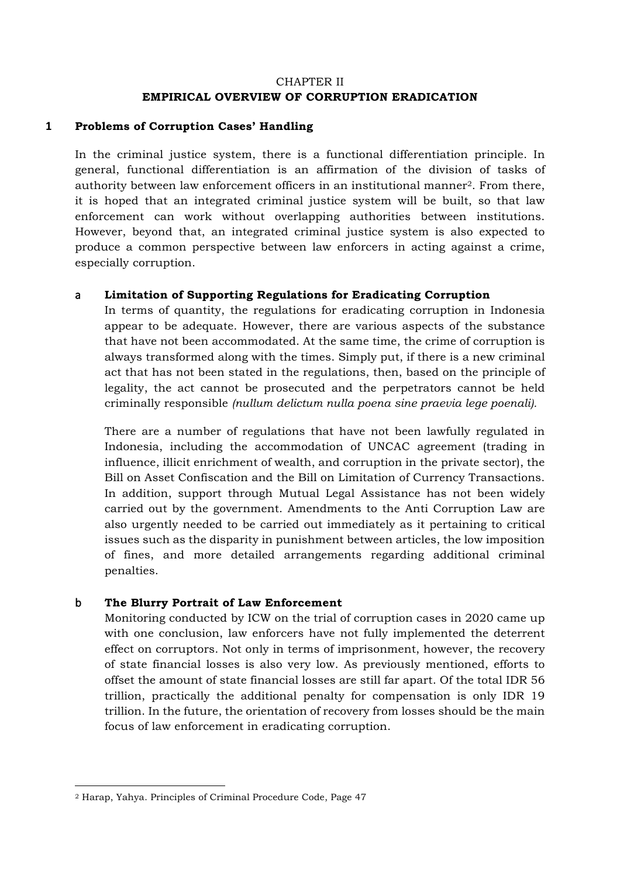### CHAPTER II **EMPIRICAL OVERVIEW OF CORRUPTION ERADICATION**

#### **1 Problems of Corruption Cases' Handling**

In the criminal justice system, there is a functional differentiation principle. In general, functional differentiation is an affirmation of the division of tasks of authority between law enforcement officers in an institutional manner2. From there, it is hoped that an integrated criminal justice system will be built, so that law enforcement can work without overlapping authorities between institutions. However, beyond that, an integrated criminal justice system is also expected to produce a common perspective between law enforcers in acting against a crime, especially corruption.

#### a **Limitation of Supporting Regulations for Eradicating Corruption**

In terms of quantity, the regulations for eradicating corruption in Indonesia appear to be adequate. However, there are various aspects of the substance that have not been accommodated. At the same time, the crime of corruption is always transformed along with the times. Simply put, if there is a new criminal act that has not been stated in the regulations, then, based on the principle of legality, the act cannot be prosecuted and the perpetrators cannot be held criminally responsible *(nullum delictum nulla poena sine praevia lege poenali).*

There are a number of regulations that have not been lawfully regulated in Indonesia, including the accommodation of UNCAC agreement (trading in influence, illicit enrichment of wealth, and corruption in the private sector), the Bill on Asset Confiscation and the Bill on Limitation of Currency Transactions. In addition, support through Mutual Legal Assistance has not been widely carried out by the government. Amendments to the Anti Corruption Law are also urgently needed to be carried out immediately as it pertaining to critical issues such as the disparity in punishment between articles, the low imposition of fines, and more detailed arrangements regarding additional criminal penalties.

#### b **The Blurry Portrait of Law Enforcement**

Monitoring conducted by ICW on the trial of corruption cases in 2020 came up with one conclusion, law enforcers have not fully implemented the deterrent effect on corruptors. Not only in terms of imprisonment, however, the recovery of state financial losses is also very low. As previously mentioned, efforts to offset the amount of state financial losses are still far apart. Of the total IDR 56 trillion, practically the additional penalty for compensation is only IDR 19 trillion. In the future, the orientation of recovery from losses should be the main focus of law enforcement in eradicating corruption.

<sup>2</sup> Harap, Yahya. Principles of Criminal Procedure Code, Page 47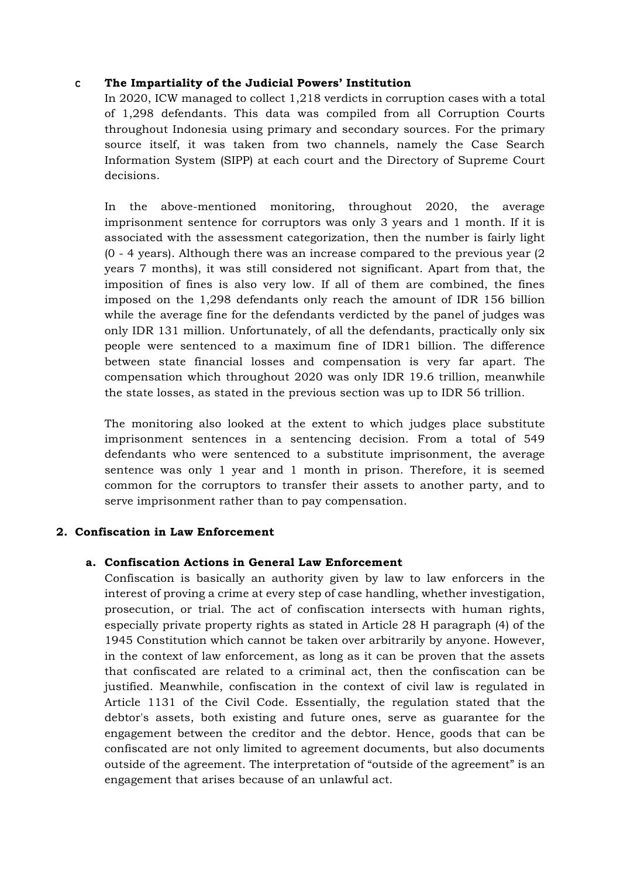## c **The Impartiality of the Judicial Powers' Institution**

In 2020, ICW managed to collect 1,218 verdicts in corruption cases with a total of 1,298 defendants. This data was compiled from all Corruption Courts throughout Indonesia using primary and secondary sources. For the primary source itself, it was taken from two channels, namely the Case Search Information System (SIPP) at each court and the Directory of Supreme Court decisions.

In the above-mentioned monitoring, throughout 2020, the average imprisonment sentence for corruptors was only 3 years and 1 month. If it is associated with the assessment categorization, then the number is fairly light (0 - 4 years). Although there was an increase compared to the previous year (2 years 7 months), it was still considered not significant. Apart from that, the imposition of fines is also very low. If all of them are combined, the fines imposed on the 1,298 defendants only reach the amount of IDR 156 billion while the average fine for the defendants verdicted by the panel of judges was only IDR 131 million. Unfortunately, of all the defendants, practically only six people were sentenced to a maximum fine of IDR1 billion. The difference between state financial losses and compensation is very far apart. The compensation which throughout 2020 was only IDR 19.6 trillion, meanwhile the state losses, as stated in the previous section was up to IDR 56 trillion.

The monitoring also looked at the extent to which judges place substitute imprisonment sentences in a sentencing decision. From a total of 549 defendants who were sentenced to a substitute imprisonment, the average sentence was only 1 year and 1 month in prison. Therefore, it is seemed common for the corruptors to transfer their assets to another party, and to serve imprisonment rather than to pay compensation.

#### **2. Confiscation in Law Enforcement**

#### **a. Confiscation Actions in General Law Enforcement**

Confiscation is basically an authority given by law to law enforcers in the interest of proving a crime at every step of case handling, whether investigation, prosecution, or trial. The act of confiscation intersects with human rights, especially private property rights as stated in Article 28 H paragraph (4) of the 1945 Constitution which cannot be taken over arbitrarily by anyone. However, in the context of law enforcement, as long as it can be proven that the assets that confiscated are related to a criminal act, then the confiscation can be justified. Meanwhile, confiscation in the context of civil law is regulated in Article 1131 of the Civil Code. Essentially, the regulation stated that the debtor's assets, both existing and future ones, serve as guarantee for the engagement between the creditor and the debtor. Hence, goods that can be confiscated are not only limited to agreement documents, but also documents outside of the agreement. The interpretation of "outside of the agreement" is an engagement that arises because of an unlawful act.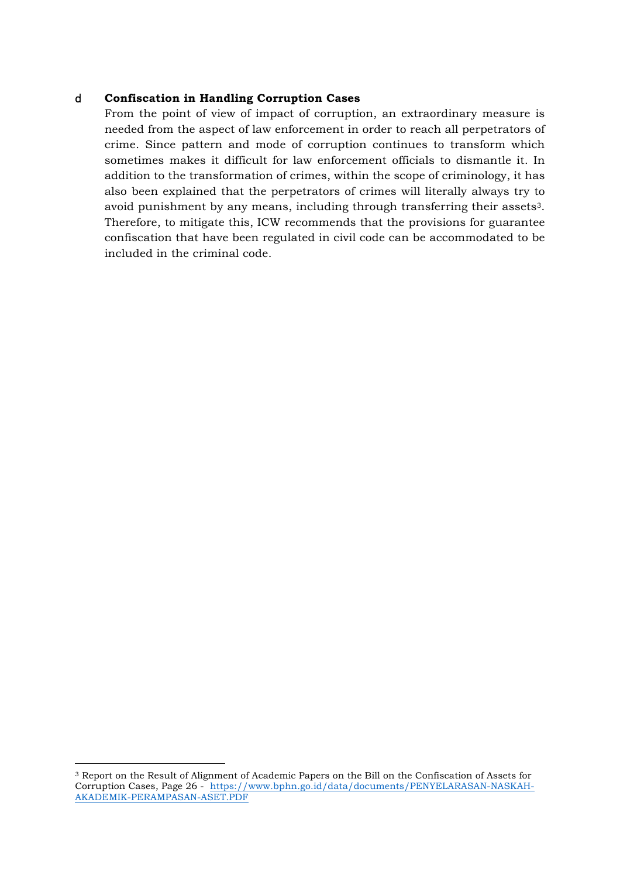#### d **Confiscation in Handling Corruption Cases**

From the point of view of impact of corruption, an extraordinary measure is needed from the aspect of law enforcement in order to reach all perpetrators of crime. Since pattern and mode of corruption continues to transform which sometimes makes it difficult for law enforcement officials to dismantle it. In addition to the transformation of crimes, within the scope of criminology, it has also been explained that the perpetrators of crimes will literally always try to avoid punishment by any means, including through transferring their assets3. Therefore, to mitigate this, ICW recommends that the provisions for guarantee confiscation that have been regulated in civil code can be accommodated to be included in the criminal code.

<sup>3</sup> Report on the Result of Alignment of Academic Papers on the Bill on the Confiscation of Assets for Corruption Cases, Page 26 - https://www.bphn.go.id/data/documents/PENYELARASAN-NASKAH-AKADEMIK-PERAMPASAN-ASET.PDF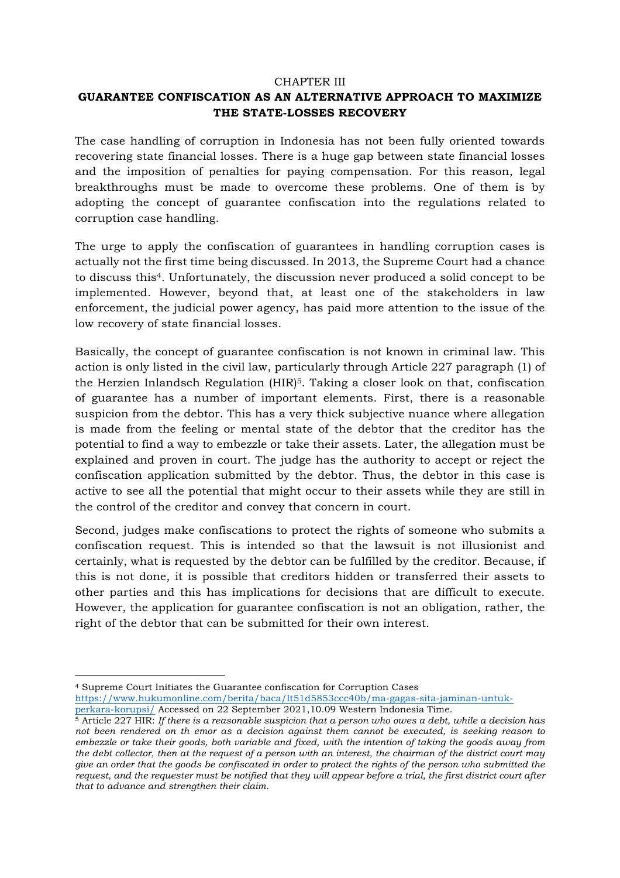#### CHAPTER III

# **GUARANTEE CONFISCATION AS AN ALTERNATIVE APPROACH TO MAXIMIZE THE STATE-LOSSES RECOVERY**

The case handling of corruption in Indonesia has not been fully oriented towards recovering state financial losses. There is a huge gap between state financial losses and the imposition of penalties for paying compensation. For this reason, legal breakthroughs must be made to overcome these problems. One of them is by adopting the concept of guarantee confiscation into the regulations related to corruption case handling.

The urge to apply the confiscation of guarantees in handling corruption cases is actually not the first time being discussed. In 2013, the Supreme Court had a chance to discuss this4. Unfortunately, the discussion never produced a solid concept to be implemented. However, beyond that, at least one of the stakeholders in law enforcement, the judicial power agency, has paid more attention to the issue of the low recovery of state financial losses.

Basically, the concept of guarantee confiscation is not known in criminal law. This action is only listed in the civil law, particularly through Article 227 paragraph (1) of the Herzien Inlandsch Regulation  $(HIR)<sup>5</sup>$ . Taking a closer look on that, confiscation of guarantee has a number of important elements. First, there is a reasonable suspicion from the debtor. This has a very thick subjective nuance where allegation is made from the feeling or mental state of the debtor that the creditor has the potential to find a way to embezzle or take their assets. Later, the allegation must be explained and proven in court. The judge has the authority to accept or reject the confiscation application submitted by the debtor. Thus, the debtor in this case is active to see all the potential that might occur to their assets while they are still in the control of the creditor and convey that concern in court.

Second, judges make confiscations to protect the rights of someone who submits a confiscation request. This is intended so that the lawsuit is not illusionist and certainly, what is requested by the debtor can be fulfilled by the creditor. Because, if this is not done, it is possible that creditors hidden or transferred their assets to other parties and this has implications for decisions that are difficult to execute. However, the application for guarantee confiscation is not an obligation, rather, the right of the debtor that can be submitted for their own interest.

<sup>4</sup> Supreme Court Initiates the Guarantee confiscation for Corruption Cases https://www.hukumonline.com/berita/baca/lt51d5853ccc40b/ma-gagas-sita-jaminan-untuk-

perkara-korupsi/ Accessed on 22 September 2021,10.09 Western Indonesia Time. 5 Article 227 HIR: *If there is a reasonable suspicion that a person who owes a debt, while a decision has* 

*not been rendered on th emor as a decision against them cannot be executed, is seeking reason to embezzle or take their goods, both variable and fixed, with the intention of taking the goods away from the debt collector, then at the request of a person with an interest, the chairman of the district court may give an order that the goods be confiscated in order to protect the rights of the person who submitted the request, and the requester must be notified that they will appear before a trial, the first district court after that to advance and strengthen their claim.*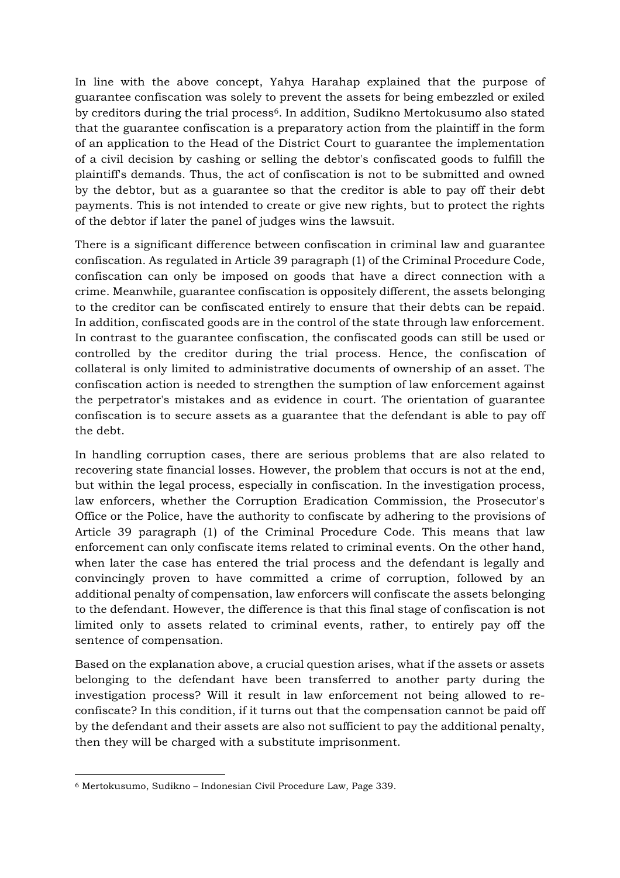In line with the above concept, Yahya Harahap explained that the purpose of guarantee confiscation was solely to prevent the assets for being embezzled or exiled by creditors during the trial process6. In addition, Sudikno Mertokusumo also stated that the guarantee confiscation is a preparatory action from the plaintiff in the form of an application to the Head of the District Court to guarantee the implementation of a civil decision by cashing or selling the debtor's confiscated goods to fulfill the plaintiff's demands. Thus, the act of confiscation is not to be submitted and owned by the debtor, but as a guarantee so that the creditor is able to pay off their debt payments. This is not intended to create or give new rights, but to protect the rights of the debtor if later the panel of judges wins the lawsuit.

There is a significant difference between confiscation in criminal law and guarantee confiscation. As regulated in Article 39 paragraph (1) of the Criminal Procedure Code, confiscation can only be imposed on goods that have a direct connection with a crime. Meanwhile, guarantee confiscation is oppositely different, the assets belonging to the creditor can be confiscated entirely to ensure that their debts can be repaid. In addition, confiscated goods are in the control of the state through law enforcement. In contrast to the guarantee confiscation, the confiscated goods can still be used or controlled by the creditor during the trial process. Hence, the confiscation of collateral is only limited to administrative documents of ownership of an asset. The confiscation action is needed to strengthen the sumption of law enforcement against the perpetrator's mistakes and as evidence in court. The orientation of guarantee confiscation is to secure assets as a guarantee that the defendant is able to pay off the debt.

In handling corruption cases, there are serious problems that are also related to recovering state financial losses. However, the problem that occurs is not at the end, but within the legal process, especially in confiscation. In the investigation process, law enforcers, whether the Corruption Eradication Commission, the Prosecutor's Office or the Police, have the authority to confiscate by adhering to the provisions of Article 39 paragraph (1) of the Criminal Procedure Code. This means that law enforcement can only confiscate items related to criminal events. On the other hand, when later the case has entered the trial process and the defendant is legally and convincingly proven to have committed a crime of corruption, followed by an additional penalty of compensation, law enforcers will confiscate the assets belonging to the defendant. However, the difference is that this final stage of confiscation is not limited only to assets related to criminal events, rather, to entirely pay off the sentence of compensation.

Based on the explanation above, a crucial question arises, what if the assets or assets belonging to the defendant have been transferred to another party during the investigation process? Will it result in law enforcement not being allowed to reconfiscate? In this condition, if it turns out that the compensation cannot be paid off by the defendant and their assets are also not sufficient to pay the additional penalty, then they will be charged with a substitute imprisonment.

 <sup>6</sup> Mertokusumo, Sudikno – Indonesian Civil Procedure Law, Page 339.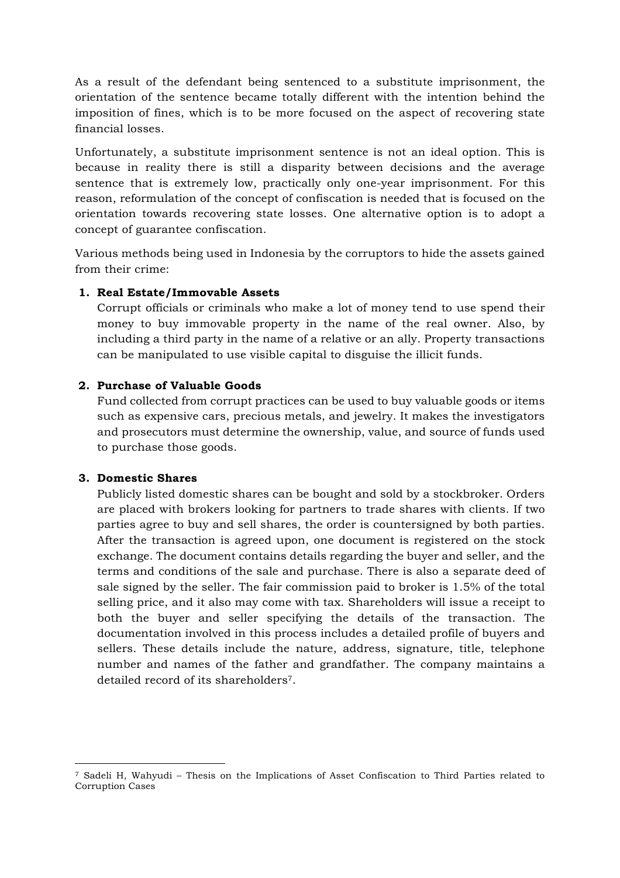As a result of the defendant being sentenced to a substitute imprisonment, the orientation of the sentence became totally different with the intention behind the imposition of fines, which is to be more focused on the aspect of recovering state financial losses.

Unfortunately, a substitute imprisonment sentence is not an ideal option. This is because in reality there is still a disparity between decisions and the average sentence that is extremely low, practically only one-year imprisonment. For this reason, reformulation of the concept of confiscation is needed that is focused on the orientation towards recovering state losses. One alternative option is to adopt a concept of guarantee confiscation.

Various methods being used in Indonesia by the corruptors to hide the assets gained from their crime:

#### **1. Real Estate/Immovable Assets**

Corrupt officials or criminals who make a lot of money tend to use spend their money to buy immovable property in the name of the real owner. Also, by including a third party in the name of a relative or an ally. Property transactions can be manipulated to use visible capital to disguise the illicit funds.

## **2. Purchase of Valuable Goods**

Fund collected from corrupt practices can be used to buy valuable goods or items such as expensive cars, precious metals, and jewelry. It makes the investigators and prosecutors must determine the ownership, value, and source of funds used to purchase those goods.

#### **3. Domestic Shares**

 

Publicly listed domestic shares can be bought and sold by a stockbroker. Orders are placed with brokers looking for partners to trade shares with clients. If two parties agree to buy and sell shares, the order is countersigned by both parties. After the transaction is agreed upon, one document is registered on the stock exchange. The document contains details regarding the buyer and seller, and the terms and conditions of the sale and purchase. There is also a separate deed of sale signed by the seller. The fair commission paid to broker is 1.5% of the total selling price, and it also may come with tax. Shareholders will issue a receipt to both the buyer and seller specifying the details of the transaction. The documentation involved in this process includes a detailed profile of buyers and sellers. These details include the nature, address, signature, title, telephone number and names of the father and grandfather. The company maintains a detailed record of its shareholders7.

<sup>7</sup> Sadeli H, Wahyudi – Thesis on the Implications of Asset Confiscation to Third Parties related to Corruption Cases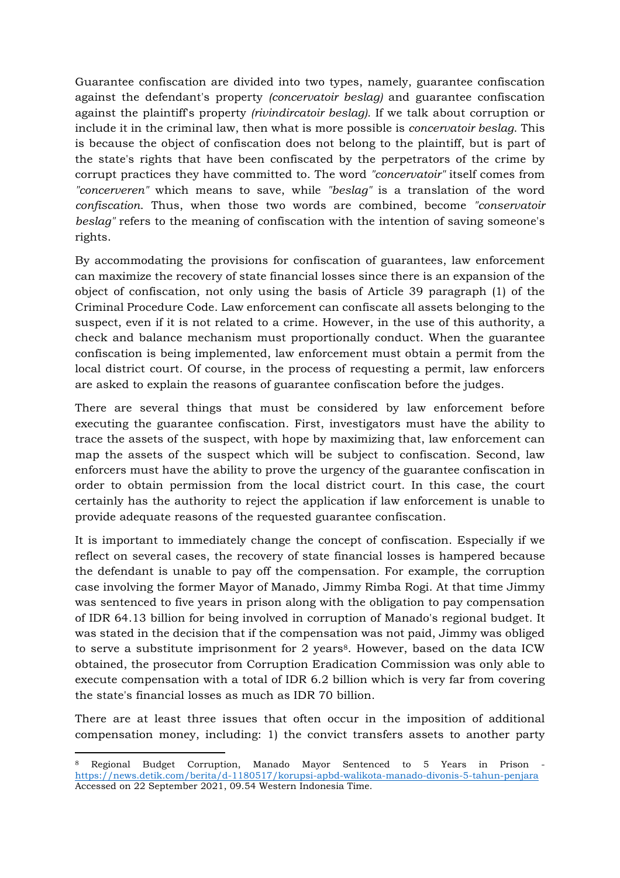Guarantee confiscation are divided into two types, namely, guarantee confiscation against the defendant's property *(concervatoir beslag)* and guarantee confiscation against the plaintiff's property *(rivindircatoir beslag).* If we talk about corruption or include it in the criminal law, then what is more possible is *concervatoir beslag*. This is because the object of confiscation does not belong to the plaintiff, but is part of the state's rights that have been confiscated by the perpetrators of the crime by corrupt practices they have committed to. The word *"concervatoir"* itself comes from *"concerveren"* which means to save, while *"beslag"* is a translation of the word *confiscation*. Thus, when those two words are combined, become *"conservatoir beslag"* refers to the meaning of confiscation with the intention of saving someone's rights.

By accommodating the provisions for confiscation of guarantees, law enforcement can maximize the recovery of state financial losses since there is an expansion of the object of confiscation, not only using the basis of Article 39 paragraph (1) of the Criminal Procedure Code. Law enforcement can confiscate all assets belonging to the suspect, even if it is not related to a crime. However, in the use of this authority, a check and balance mechanism must proportionally conduct. When the guarantee confiscation is being implemented, law enforcement must obtain a permit from the local district court. Of course, in the process of requesting a permit, law enforcers are asked to explain the reasons of guarantee confiscation before the judges.

There are several things that must be considered by law enforcement before executing the guarantee confiscation. First, investigators must have the ability to trace the assets of the suspect, with hope by maximizing that, law enforcement can map the assets of the suspect which will be subject to confiscation. Second, law enforcers must have the ability to prove the urgency of the guarantee confiscation in order to obtain permission from the local district court. In this case, the court certainly has the authority to reject the application if law enforcement is unable to provide adequate reasons of the requested guarantee confiscation.

It is important to immediately change the concept of confiscation. Especially if we reflect on several cases, the recovery of state financial losses is hampered because the defendant is unable to pay off the compensation. For example, the corruption case involving the former Mayor of Manado, Jimmy Rimba Rogi. At that time Jimmy was sentenced to five years in prison along with the obligation to pay compensation of IDR 64.13 billion for being involved in corruption of Manado's regional budget. It was stated in the decision that if the compensation was not paid, Jimmy was obliged to serve a substitute imprisonment for 2 years8. However, based on the data ICW obtained, the prosecutor from Corruption Eradication Commission was only able to execute compensation with a total of IDR 6.2 billion which is very far from covering the state's financial losses as much as IDR 70 billion.

There are at least three issues that often occur in the imposition of additional compensation money, including: 1) the convict transfers assets to another party

<sup>8</sup> Regional Budget Corruption, Manado Mayor Sentenced to 5 Years in Prison https://news.detik.com/berita/d-1180517/korupsi-apbd-walikota-manado-divonis-5-tahun-penjara Accessed on 22 September 2021, 09.54 Western Indonesia Time.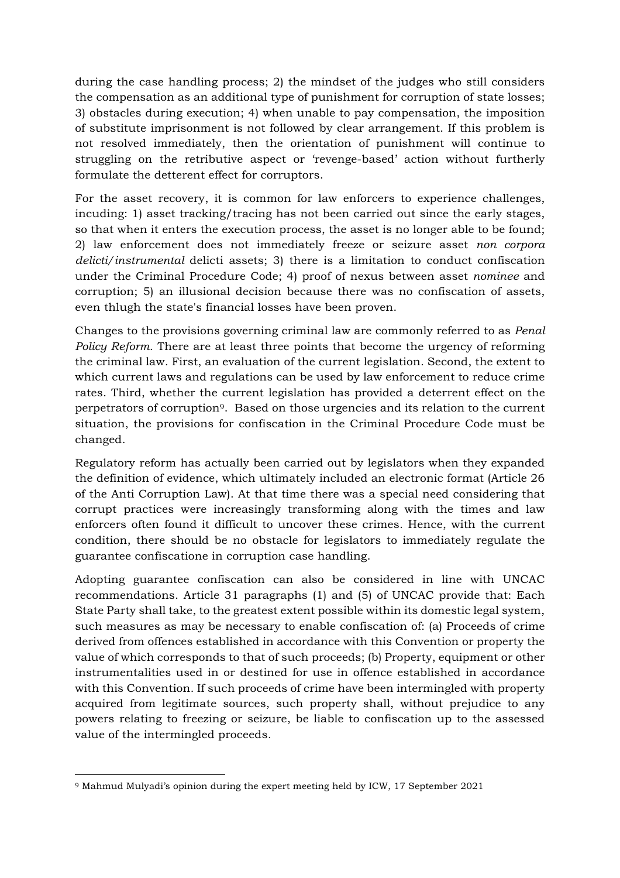during the case handling process; 2) the mindset of the judges who still considers the compensation as an additional type of punishment for corruption of state losses; 3) obstacles during execution; 4) when unable to pay compensation, the imposition of substitute imprisonment is not followed by clear arrangement. If this problem is not resolved immediately, then the orientation of punishment will continue to struggling on the retributive aspect or 'revenge-based' action without furtherly formulate the detterent effect for corruptors.

For the asset recovery, it is common for law enforcers to experience challenges, incuding: 1) asset tracking/tracing has not been carried out since the early stages, so that when it enters the execution process, the asset is no longer able to be found; 2) law enforcement does not immediately freeze or seizure asset *non corpora delicti/instrumental* delicti assets; 3) there is a limitation to conduct confiscation under the Criminal Procedure Code; 4) proof of nexus between asset *nominee* and corruption; 5) an illusional decision because there was no confiscation of assets, even thlugh the state's financial losses have been proven.

Changes to the provisions governing criminal law are commonly referred to as *Penal Policy Reform*. There are at least three points that become the urgency of reforming the criminal law. First, an evaluation of the current legislation. Second, the extent to which current laws and regulations can be used by law enforcement to reduce crime rates. Third, whether the current legislation has provided a deterrent effect on the perpetrators of corruption9. Based on those urgencies and its relation to the current situation, the provisions for confiscation in the Criminal Procedure Code must be changed.

Regulatory reform has actually been carried out by legislators when they expanded the definition of evidence, which ultimately included an electronic format (Article 26 of the Anti Corruption Law). At that time there was a special need considering that corrupt practices were increasingly transforming along with the times and law enforcers often found it difficult to uncover these crimes. Hence, with the current condition, there should be no obstacle for legislators to immediately regulate the guarantee confiscatione in corruption case handling.

Adopting guarantee confiscation can also be considered in line with UNCAC recommendations. Article 31 paragraphs (1) and (5) of UNCAC provide that: Each State Party shall take, to the greatest extent possible within its domestic legal system, such measures as may be necessary to enable confiscation of: (a) Proceeds of crime derived from offences established in accordance with this Convention or property the value of which corresponds to that of such proceeds; (b) Property, equipment or other instrumentalities used in or destined for use in offence established in accordance with this Convention. If such proceeds of crime have been intermingled with property acquired from legitimate sources, such property shall, without prejudice to any powers relating to freezing or seizure, be liable to confiscation up to the assessed value of the intermingled proceeds.

 <sup>9</sup> Mahmud Mulyadi's opinion during the expert meeting held by ICW, 17 September 2021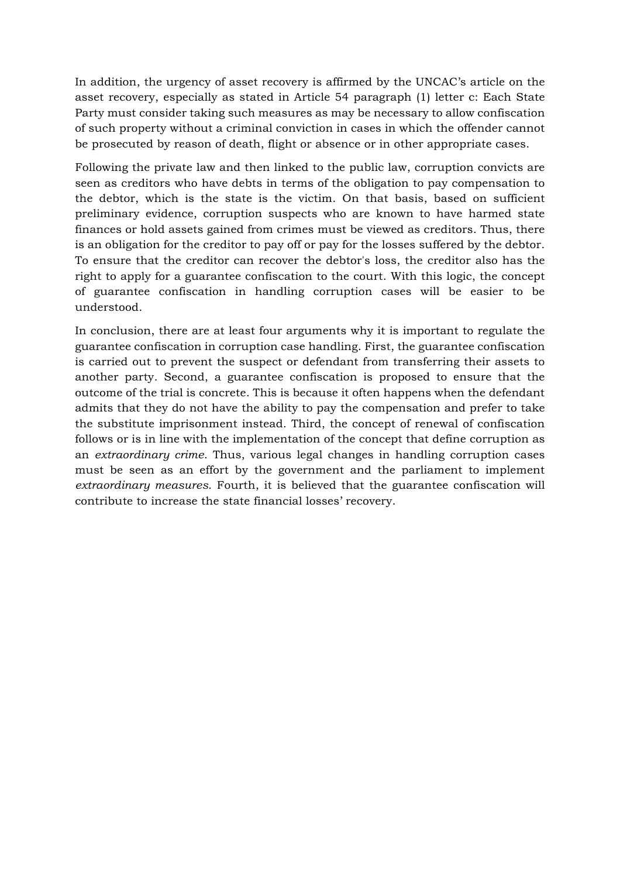In addition, the urgency of asset recovery is affirmed by the UNCAC's article on the asset recovery, especially as stated in Article 54 paragraph (1) letter c: Each State Party must consider taking such measures as may be necessary to allow confiscation of such property without a criminal conviction in cases in which the offender cannot be prosecuted by reason of death, flight or absence or in other appropriate cases.

Following the private law and then linked to the public law, corruption convicts are seen as creditors who have debts in terms of the obligation to pay compensation to the debtor, which is the state is the victim. On that basis, based on sufficient preliminary evidence, corruption suspects who are known to have harmed state finances or hold assets gained from crimes must be viewed as creditors. Thus, there is an obligation for the creditor to pay off or pay for the losses suffered by the debtor. To ensure that the creditor can recover the debtor's loss, the creditor also has the right to apply for a guarantee confiscation to the court. With this logic, the concept of guarantee confiscation in handling corruption cases will be easier to be understood.

In conclusion, there are at least four arguments why it is important to regulate the guarantee confiscation in corruption case handling. First, the guarantee confiscation is carried out to prevent the suspect or defendant from transferring their assets to another party. Second, a guarantee confiscation is proposed to ensure that the outcome of the trial is concrete. This is because it often happens when the defendant admits that they do not have the ability to pay the compensation and prefer to take the substitute imprisonment instead. Third, the concept of renewal of confiscation follows or is in line with the implementation of the concept that define corruption as an *extraordinary crime*. Thus, various legal changes in handling corruption cases must be seen as an effort by the government and the parliament to implement *extraordinary measures*. Fourth, it is believed that the guarantee confiscation will contribute to increase the state financial losses' recovery.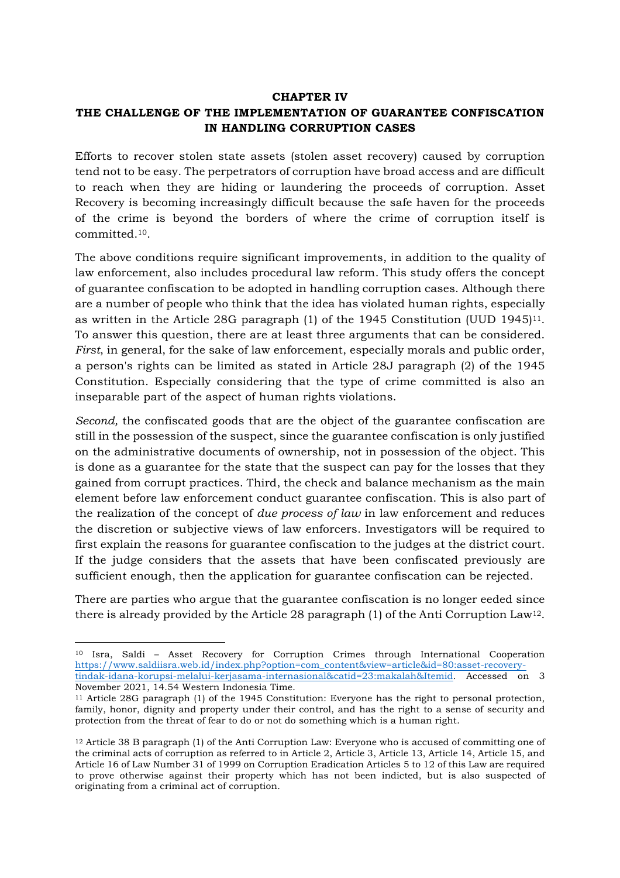#### **CHAPTER IV**

## **THE CHALLENGE OF THE IMPLEMENTATION OF GUARANTEE CONFISCATION IN HANDLING CORRUPTION CASES**

Efforts to recover stolen state assets (stolen asset recovery) caused by corruption tend not to be easy. The perpetrators of corruption have broad access and are difficult to reach when they are hiding or laundering the proceeds of corruption. Asset Recovery is becoming increasingly difficult because the safe haven for the proceeds of the crime is beyond the borders of where the crime of corruption itself is committed.10.

The above conditions require significant improvements, in addition to the quality of law enforcement, also includes procedural law reform. This study offers the concept of guarantee confiscation to be adopted in handling corruption cases. Although there are a number of people who think that the idea has violated human rights, especially as written in the Article 28G paragraph (1) of the 1945 Constitution (UUD 1945)11. To answer this question, there are at least three arguments that can be considered. *First*, in general, for the sake of law enforcement, especially morals and public order, a person's rights can be limited as stated in Article 28J paragraph (2) of the 1945 Constitution. Especially considering that the type of crime committed is also an inseparable part of the aspect of human rights violations.

*Second,* the confiscated goods that are the object of the guarantee confiscation are still in the possession of the suspect, since the guarantee confiscation is only justified on the administrative documents of ownership, not in possession of the object. This is done as a guarantee for the state that the suspect can pay for the losses that they gained from corrupt practices. Third, the check and balance mechanism as the main element before law enforcement conduct guarantee confiscation. This is also part of the realization of the concept of *due process of law* in law enforcement and reduces the discretion or subjective views of law enforcers. Investigators will be required to first explain the reasons for guarantee confiscation to the judges at the district court. If the judge considers that the assets that have been confiscated previously are sufficient enough, then the application for guarantee confiscation can be rejected.

There are parties who argue that the guarantee confiscation is no longer eeded since there is already provided by the Article 28 paragraph  $(1)$  of the Anti Corruption Law<sup>12</sup>.

<sup>10</sup> Isra, Saldi – Asset Recovery for Corruption Crimes through International Cooperation https://www.saldiisra.web.id/index.php?option=com\_content&view=article&id=80:asset-recoverytindak-idana-korupsi-melalui-kerjasama-internasional&catid=23:makalah&Itemid. Accessed on 3 November 2021, 14.54 Western Indonesia Time.

<sup>11</sup> Article 28G paragraph (1) of the 1945 Constitution: Everyone has the right to personal protection, family, honor, dignity and property under their control, and has the right to a sense of security and protection from the threat of fear to do or not do something which is a human right.

<sup>12</sup> Article 38 B paragraph (1) of the Anti Corruption Law: Everyone who is accused of committing one of the criminal acts of corruption as referred to in Article 2, Article 3, Article 13, Article 14, Article 15, and Article 16 of Law Number 31 of 1999 on Corruption Eradication Articles 5 to 12 of this Law are required to prove otherwise against their property which has not been indicted, but is also suspected of originating from a criminal act of corruption.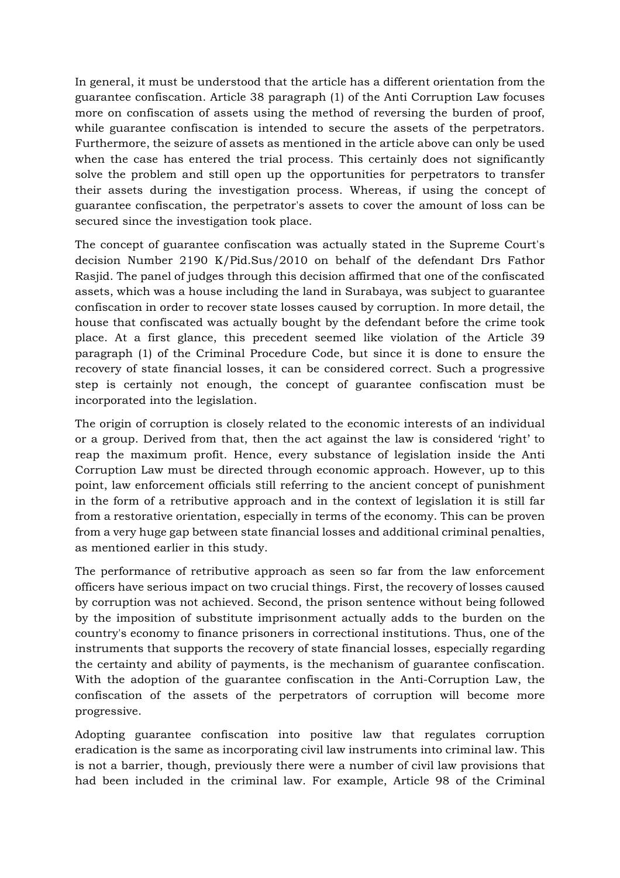In general, it must be understood that the article has a different orientation from the guarantee confiscation. Article 38 paragraph (1) of the Anti Corruption Law focuses more on confiscation of assets using the method of reversing the burden of proof, while guarantee confiscation is intended to secure the assets of the perpetrators. Furthermore, the seizure of assets as mentioned in the article above can only be used when the case has entered the trial process. This certainly does not significantly solve the problem and still open up the opportunities for perpetrators to transfer their assets during the investigation process. Whereas, if using the concept of guarantee confiscation, the perpetrator's assets to cover the amount of loss can be secured since the investigation took place.

The concept of guarantee confiscation was actually stated in the Supreme Court's decision Number 2190 K/Pid.Sus/2010 on behalf of the defendant Drs Fathor Rasjid. The panel of judges through this decision affirmed that one of the confiscated assets, which was a house including the land in Surabaya, was subject to guarantee confiscation in order to recover state losses caused by corruption. In more detail, the house that confiscated was actually bought by the defendant before the crime took place. At a first glance, this precedent seemed like violation of the Article 39 paragraph (1) of the Criminal Procedure Code, but since it is done to ensure the recovery of state financial losses, it can be considered correct. Such a progressive step is certainly not enough, the concept of guarantee confiscation must be incorporated into the legislation.

The origin of corruption is closely related to the economic interests of an individual or a group. Derived from that, then the act against the law is considered 'right' to reap the maximum profit. Hence, every substance of legislation inside the Anti Corruption Law must be directed through economic approach. However, up to this point, law enforcement officials still referring to the ancient concept of punishment in the form of a retributive approach and in the context of legislation it is still far from a restorative orientation, especially in terms of the economy. This can be proven from a very huge gap between state financial losses and additional criminal penalties, as mentioned earlier in this study.

The performance of retributive approach as seen so far from the law enforcement officers have serious impact on two crucial things. First, the recovery of losses caused by corruption was not achieved. Second, the prison sentence without being followed by the imposition of substitute imprisonment actually adds to the burden on the country's economy to finance prisoners in correctional institutions. Thus, one of the instruments that supports the recovery of state financial losses, especially regarding the certainty and ability of payments, is the mechanism of guarantee confiscation. With the adoption of the guarantee confiscation in the Anti-Corruption Law, the confiscation of the assets of the perpetrators of corruption will become more progressive.

Adopting guarantee confiscation into positive law that regulates corruption eradication is the same as incorporating civil law instruments into criminal law. This is not a barrier, though, previously there were a number of civil law provisions that had been included in the criminal law. For example, Article 98 of the Criminal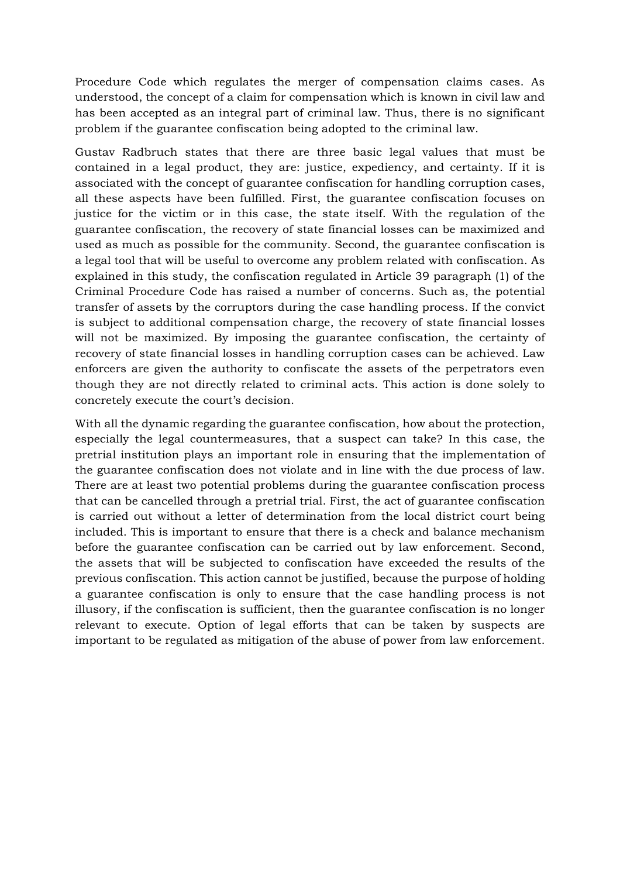Procedure Code which regulates the merger of compensation claims cases. As understood, the concept of a claim for compensation which is known in civil law and has been accepted as an integral part of criminal law. Thus, there is no significant problem if the guarantee confiscation being adopted to the criminal law.

Gustav Radbruch states that there are three basic legal values that must be contained in a legal product, they are: justice, expediency, and certainty. If it is associated with the concept of guarantee confiscation for handling corruption cases, all these aspects have been fulfilled. First, the guarantee confiscation focuses on justice for the victim or in this case, the state itself. With the regulation of the guarantee confiscation, the recovery of state financial losses can be maximized and used as much as possible for the community. Second, the guarantee confiscation is a legal tool that will be useful to overcome any problem related with confiscation. As explained in this study, the confiscation regulated in Article 39 paragraph (1) of the Criminal Procedure Code has raised a number of concerns. Such as, the potential transfer of assets by the corruptors during the case handling process. If the convict is subject to additional compensation charge, the recovery of state financial losses will not be maximized. By imposing the guarantee confiscation, the certainty of recovery of state financial losses in handling corruption cases can be achieved. Law enforcers are given the authority to confiscate the assets of the perpetrators even though they are not directly related to criminal acts. This action is done solely to concretely execute the court's decision.

With all the dynamic regarding the guarantee confiscation, how about the protection, especially the legal countermeasures, that a suspect can take? In this case, the pretrial institution plays an important role in ensuring that the implementation of the guarantee confiscation does not violate and in line with the due process of law. There are at least two potential problems during the guarantee confiscation process that can be cancelled through a pretrial trial. First, the act of guarantee confiscation is carried out without a letter of determination from the local district court being included. This is important to ensure that there is a check and balance mechanism before the guarantee confiscation can be carried out by law enforcement. Second, the assets that will be subjected to confiscation have exceeded the results of the previous confiscation. This action cannot be justified, because the purpose of holding a guarantee confiscation is only to ensure that the case handling process is not illusory, if the confiscation is sufficient, then the guarantee confiscation is no longer relevant to execute. Option of legal efforts that can be taken by suspects are important to be regulated as mitigation of the abuse of power from law enforcement.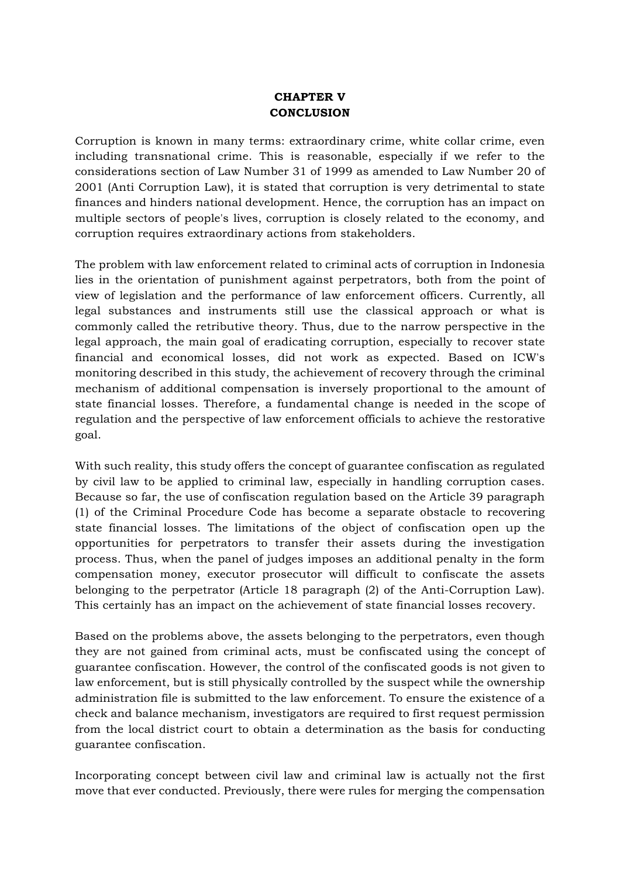## **CHAPTER V CONCLUSION**

Corruption is known in many terms: extraordinary crime, white collar crime, even including transnational crime. This is reasonable, especially if we refer to the considerations section of Law Number 31 of 1999 as amended to Law Number 20 of 2001 (Anti Corruption Law), it is stated that corruption is very detrimental to state finances and hinders national development. Hence, the corruption has an impact on multiple sectors of people's lives, corruption is closely related to the economy, and corruption requires extraordinary actions from stakeholders.

The problem with law enforcement related to criminal acts of corruption in Indonesia lies in the orientation of punishment against perpetrators, both from the point of view of legislation and the performance of law enforcement officers. Currently, all legal substances and instruments still use the classical approach or what is commonly called the retributive theory. Thus, due to the narrow perspective in the legal approach, the main goal of eradicating corruption, especially to recover state financial and economical losses, did not work as expected. Based on ICW's monitoring described in this study, the achievement of recovery through the criminal mechanism of additional compensation is inversely proportional to the amount of state financial losses. Therefore, a fundamental change is needed in the scope of regulation and the perspective of law enforcement officials to achieve the restorative goal.

With such reality, this study offers the concept of guarantee confiscation as regulated by civil law to be applied to criminal law, especially in handling corruption cases. Because so far, the use of confiscation regulation based on the Article 39 paragraph (1) of the Criminal Procedure Code has become a separate obstacle to recovering state financial losses. The limitations of the object of confiscation open up the opportunities for perpetrators to transfer their assets during the investigation process. Thus, when the panel of judges imposes an additional penalty in the form compensation money, executor prosecutor will difficult to confiscate the assets belonging to the perpetrator (Article 18 paragraph (2) of the Anti-Corruption Law). This certainly has an impact on the achievement of state financial losses recovery.

Based on the problems above, the assets belonging to the perpetrators, even though they are not gained from criminal acts, must be confiscated using the concept of guarantee confiscation. However, the control of the confiscated goods is not given to law enforcement, but is still physically controlled by the suspect while the ownership administration file is submitted to the law enforcement. To ensure the existence of a check and balance mechanism, investigators are required to first request permission from the local district court to obtain a determination as the basis for conducting guarantee confiscation.

Incorporating concept between civil law and criminal law is actually not the first move that ever conducted. Previously, there were rules for merging the compensation